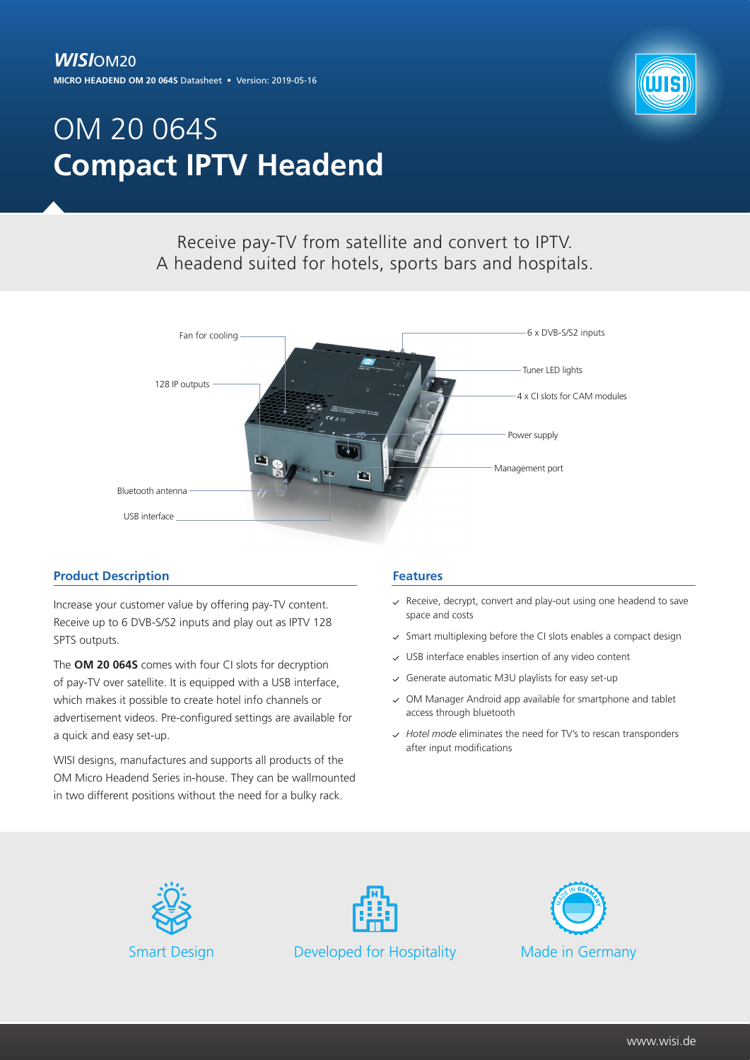## *WISI*OM20

**MICRO HEADEND OM 20 064S** Datasheet • Version: 2019-05-16



# OM 20 064S **Compact IPTV Headend**

## Receive pay-TV from satellite and convert to IPTV. A headend suited for hotels, sports bars and hospitals.



#### **Product Description**

Increase your customer value by offering pay-TV content. Receive up to 6 DVB-S/S2 inputs and play out as IPTV 128 SPTS outputs.

The **OM 20 064S** comes with four CI slots for decryption of pay-TV over satellite. It is equipped with a USB interface, which makes it possible to create hotel info channels or advertisement videos. Pre-configured settings are available for a quick and easy set-up.

WISI designs, manufactures and supports all products of the OM Micro Headend Series in-house. They can be wallmounted in two different positions without the need for a bulky rack.

#### **Features**

- $\vee$  Receive, decrypt, convert and play-out using one headend to save space and costs
- Smart multiplexing before the CI slots enables a compact design  $\mathcal{L}$
- USB interface enables insertion of any video content  $\checkmark$
- $\checkmark$  Generate automatic M3U playlists for easy set-up
- $\vee$  OM Manager Android app available for smartphone and tablet access through bluetooth
- *Hotel mode* eliminates the need for TV's to rescan transponders after input modifications





Smart Design **Developed for Hospitality** Made in Germany